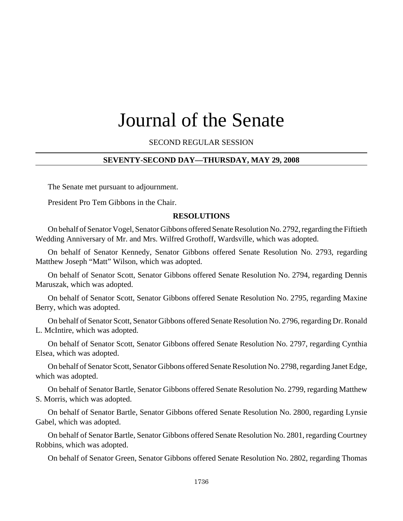# Journal of the Senate

SECOND REGULAR SESSION

#### **SEVENTY-SECOND DAY—THURSDAY, MAY 29, 2008**

The Senate met pursuant to adjournment.

President Pro Tem Gibbons in the Chair.

#### **RESOLUTIONS**

On behalf of Senator Vogel, Senator Gibbons offered Senate Resolution No. 2792, regarding the Fiftieth Wedding Anniversary of Mr. and Mrs. Wilfred Grothoff, Wardsville, which was adopted.

On behalf of Senator Kennedy, Senator Gibbons offered Senate Resolution No. 2793, regarding Matthew Joseph "Matt" Wilson, which was adopted.

On behalf of Senator Scott, Senator Gibbons offered Senate Resolution No. 2794, regarding Dennis Maruszak, which was adopted.

On behalf of Senator Scott, Senator Gibbons offered Senate Resolution No. 2795, regarding Maxine Berry, which was adopted.

On behalf of Senator Scott, Senator Gibbons offered Senate Resolution No. 2796, regarding Dr. Ronald L. McIntire, which was adopted.

On behalf of Senator Scott, Senator Gibbons offered Senate Resolution No. 2797, regarding Cynthia Elsea, which was adopted.

On behalf of Senator Scott, Senator Gibbons offered Senate Resolution No. 2798, regarding Janet Edge, which was adopted.

On behalf of Senator Bartle, Senator Gibbons offered Senate Resolution No. 2799, regarding Matthew S. Morris, which was adopted.

On behalf of Senator Bartle, Senator Gibbons offered Senate Resolution No. 2800, regarding Lynsie Gabel, which was adopted.

On behalf of Senator Bartle, Senator Gibbons offered Senate Resolution No. 2801, regarding Courtney Robbins, which was adopted.

On behalf of Senator Green, Senator Gibbons offered Senate Resolution No. 2802, regarding Thomas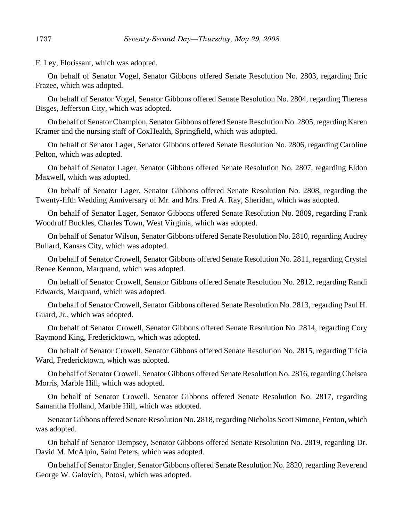F. Ley, Florissant, which was adopted.

On behalf of Senator Vogel, Senator Gibbons offered Senate Resolution No. 2803, regarding Eric Frazee, which was adopted.

On behalf of Senator Vogel, Senator Gibbons offered Senate Resolution No. 2804, regarding Theresa Bisges, Jefferson City, which was adopted.

On behalf of Senator Champion, Senator Gibbons offered Senate Resolution No. 2805, regarding Karen Kramer and the nursing staff of CoxHealth, Springfield, which was adopted.

On behalf of Senator Lager, Senator Gibbons offered Senate Resolution No. 2806, regarding Caroline Pelton, which was adopted.

On behalf of Senator Lager, Senator Gibbons offered Senate Resolution No. 2807, regarding Eldon Maxwell, which was adopted.

On behalf of Senator Lager, Senator Gibbons offered Senate Resolution No. 2808, regarding the Twenty-fifth Wedding Anniversary of Mr. and Mrs. Fred A. Ray, Sheridan, which was adopted.

On behalf of Senator Lager, Senator Gibbons offered Senate Resolution No. 2809, regarding Frank Woodruff Buckles, Charles Town, West Virginia, which was adopted.

On behalf of Senator Wilson, Senator Gibbons offered Senate Resolution No. 2810, regarding Audrey Bullard, Kansas City, which was adopted.

On behalf of Senator Crowell, Senator Gibbons offered Senate Resolution No. 2811, regarding Crystal Renee Kennon, Marquand, which was adopted.

On behalf of Senator Crowell, Senator Gibbons offered Senate Resolution No. 2812, regarding Randi Edwards, Marquand, which was adopted.

On behalf of Senator Crowell, Senator Gibbons offered Senate Resolution No. 2813, regarding Paul H. Guard, Jr., which was adopted.

On behalf of Senator Crowell, Senator Gibbons offered Senate Resolution No. 2814, regarding Cory Raymond King, Fredericktown, which was adopted.

On behalf of Senator Crowell, Senator Gibbons offered Senate Resolution No. 2815, regarding Tricia Ward, Fredericktown, which was adopted.

On behalf of Senator Crowell, Senator Gibbons offered Senate Resolution No. 2816, regarding Chelsea Morris, Marble Hill, which was adopted.

On behalf of Senator Crowell, Senator Gibbons offered Senate Resolution No. 2817, regarding Samantha Holland, Marble Hill, which was adopted.

Senator Gibbons offered Senate Resolution No. 2818, regarding Nicholas Scott Simone, Fenton, which was adopted.

On behalf of Senator Dempsey, Senator Gibbons offered Senate Resolution No. 2819, regarding Dr. David M. McAlpin, Saint Peters, which was adopted.

On behalf of Senator Engler, Senator Gibbons offered Senate Resolution No. 2820, regarding Reverend George W. Galovich, Potosi, which was adopted.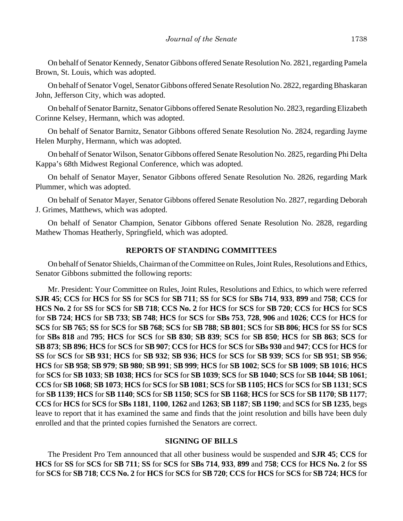On behalf of Senator Kennedy, Senator Gibbons offered Senate Resolution No. 2821, regarding Pamela Brown, St. Louis, which was adopted.

On behalf of Senator Vogel, Senator Gibbons offered Senate Resolution No. 2822, regarding Bhaskaran John, Jefferson City, which was adopted.

On behalf of Senator Barnitz, Senator Gibbons offered Senate Resolution No. 2823, regarding Elizabeth Corinne Kelsey, Hermann, which was adopted.

On behalf of Senator Barnitz, Senator Gibbons offered Senate Resolution No. 2824, regarding Jayme Helen Murphy, Hermann, which was adopted.

On behalf of Senator Wilson, Senator Gibbons offered Senate Resolution No. 2825, regarding Phi Delta Kappa's 68th Midwest Regional Conference, which was adopted.

On behalf of Senator Mayer, Senator Gibbons offered Senate Resolution No. 2826, regarding Mark Plummer, which was adopted.

On behalf of Senator Mayer, Senator Gibbons offered Senate Resolution No. 2827, regarding Deborah J. Grimes, Matthews, which was adopted.

On behalf of Senator Champion, Senator Gibbons offered Senate Resolution No. 2828, regarding Mathew Thomas Heatherly, Springfield, which was adopted.

## **REPORTS OF STANDING COMMITTEES**

On behalf of Senator Shields, Chairman of the Committee on Rules, Joint Rules, Resolutions and Ethics, Senator Gibbons submitted the following reports:

Mr. President: Your Committee on Rules, Joint Rules, Resolutions and Ethics, to which were referred **SJR 45**; **CCS** for **HCS** for **SS** for **SCS** for **SB 711**; **SS** for **SCS** for **SBs 714**, **933**, **899** and **758**; **CCS** for **HCS No. 2** for **SS** for **SCS** for **SB 718**; **CCS No. 2** for **HCS** for **SCS** for **SB 720**; **CCS** for **HCS** for **SCS** for **SB 724**; **HCS** for **SB 733**; **SB 748**; **HCS** for **SCS** for **SBs 753**, **728**, **906** and **1026**; **CCS** for **HCS** for **SCS** for **SB 765**; **SS** for **SCS** for **SB 768**; **SCS** for **SB 788**; **SB 801**; **SCS** for **SB 806**; **HCS** for **SS** for **SCS** for **SBs 818** and **795**; **HCS** for **SCS** for **SB 830**; **SB 839**; **SCS** for **SB 850**; **HCS** for **SB 863**; **SCS** for **SB 873**; **SB 896**; **HCS** for **SCS** for **SB 907**; **CCS** for **HCS** for **SCS** for **SBs 930** and **947**; **CCS** for **HCS** for **SS** for **SCS** for **SB 931**; **HCS** for **SB 932**; **SB 936**; **HCS** for **SCS** for **SB 939**; **SCS** for **SB 951**; **SB 956**; **HCS** for **SB 958**; **SB 979**; **SB 980**; **SB 991**; **SB 999**; **HCS** for **SB 1002**; **SCS** for **SB 1009**; **SB 1016**; **HCS** for **SCS** for **SB 1033**; **SB 1038**; **HCS** for **SCS** for **SB 1039**; **SCS** for **SB 1040**; **SCS** for **SB 1044**; **SB 1061**; **CCS** for **SB 1068**; **SB 1073**; **HCS** for **SCS** for **SB 1081**; **SCS** for **SB 1105**; **HCS** for **SCS** for **SB 1131**; **SCS** for **SB 1139**; **HCS** for **SB 1140**; **SCS** for **SB 1150**; **SCS** for **SB 1168**; **HCS** for **SCS** for **SB 1170**; **SB 1177**; **CCS** for **HCS** for **SCS** for **SBs 1181**, **1100**, **1262** and **1263**; **SB 1187**; **SB 1190**; and **SCS** for **SB 1235**, begs leave to report that it has examined the same and finds that the joint resolution and bills have been duly enrolled and that the printed copies furnished the Senators are correct.

#### **SIGNING OF BILLS**

The President Pro Tem announced that all other business would be suspended and **SJR 45**; **CCS** for **HCS** for **SS** for **SCS** for **SB 711**; **SS** for **SCS** for **SBs 714**, **933**, **899** and **758**; **CCS** for **HCS No. 2** for **SS** for **SCS** for **SB 718**; **CCS No. 2** for **HCS** for **SCS** for **SB 720**; **CCS** for **HCS** for **SCS** for **SB 724**; **HCS** for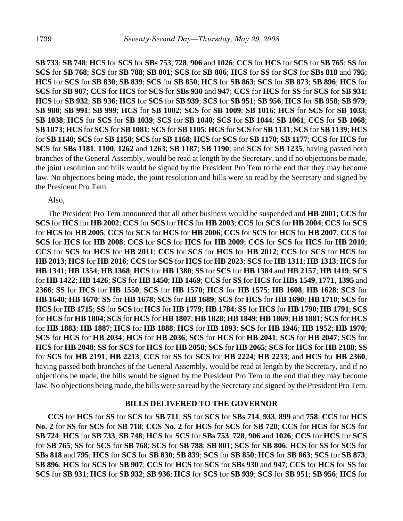**SB 733**; **SB 748**; **HCS** for **SCS** for **SBs 753**, **728**, **906** and **1026**; **CCS** for **HCS** for **SCS** for **SB 765**; **SS** for **SCS** for **SB 768**; **SCS** for **SB 788**; **SB 801**; **SCS** for **SB 806**; **HCS** for **SS** for **SCS** for **SBs 818** and **795**; **HCS** for **SCS** for **SB 830**; **SB 839**; **SCS** for **SB 850**; **HCS** for **SB 863**; **SCS** for **SB 873**; **SB 896**; **HCS** for **SCS** for **SB 907**; **CCS** for **HCS** for **SCS** for **SBs 930** and **947**; **CCS** for **HCS** for **SS** for **SCS** for **SB 931**; **HCS** for **SB 932**; **SB 936**; **HCS** for **SCS** for **SB 939**; **SCS** for **SB 951**; **SB 956**; **HCS** for **SB 958**; **SB 979**; **SB 980**; **SB 991**; **SB 999**; **HCS** for **SB 1002**; **SCS** for **SB 1009**; **SB 1016**; **HCS** for **SCS** for **SB 1033**; **SB 1038**; **HCS** for **SCS** for **SB 1039**; **SCS** for **SB 1040**; **SCS** for **SB 1044**; **SB 1061**; **CCS** for **SB 1068**; **SB 1073**; **HCS** for **SCS** for **SB 1081**; **SCS** for **SB 1105**; **HCS** for **SCS** for **SB 1131**; **SCS** for **SB 1139**; **HCS** for **SB 1140**; **SCS** for **SB 1150**; **SCS** for **SB 1168**; **HCS** for **SCS** for **SB 1170**; **SB 1177**; **CCS** for **HCS** for **SCS** for **SBs 1181**, **1100**, **1262** and **1263**; **SB 1187**; **SB 1190**; and **SCS** for **SB 1235**, having passed both branches of the General Assembly, would be read at length by the Secretary, and if no objections be made, the joint resolution and bills would be signed by the President Pro Tem to the end that they may become law. No objections being made, the joint resolution and bills were so read by the Secretary and signed by the President Pro Tem.

Also,

The President Pro Tem announced that all other business would be suspended and **HB 2001**; **CCS** for **SCS** for **HCS** for **HB 2002**; **CCS** for **SCS** for **HCS** for **HB 2003**; **CCS** for **SCS** for **HB 2004**; **CCS** for **SCS** for **HCS** for **HB 2005**; **CCS** for **SCS** for **HCS** for **HB 2006**; **CCS** for **SCS** for **HCS** for **HB 2007**; **CCS** for **SCS** for **HCS** for **HB 2008**; **CCS** for **SCS** for **HCS** for **HB 2009**; **CCS** for **SCS** for **HCS** for **HB 2010**; **CCS** for **SCS** for **HCS** for **HB 2011**; **CCS** for **SCS** for **HCS** for **HB 2012**; **CCS** for **SCS** for **HCS** for **HB 2013**; **HCS** for **HB 2016**; **CCS** for **SCS** for **HCS** for **HB 2023**; **SCS** for **HB 1311**; **HB 1313**; **HCS** for **HB 1341**; **HB 1354**; **HB 1368**; **HCS** for **HB 1380**; **SS** for **SCS** for **HB 1384** and **HB 2157**; **HB 1419**; **SCS** for **HB 1422**; **HB 1426**; **SCS** for **HB 1450**; **HB 1469**; **CCS** for **SS** for **HCS** for **HBs 1549**, **1771**, **1395** and **2366**; **SS** for **HCS** for **HB 1550**; **SCS** for **HB 1570**; **HCS** for **HB 1575**; **HB 1608**; **HB 1628**; **SCS** for **HB 1640**; **HB 1670**; **SS** for **HB 1678**; **SCS** for **HB 1689**; **SCS** for **HCS** for **HB 1690**; **HB 1710**; **SCS** for **HCS** for **HB 1715**; **SS** for **SCS** for **HCS** for **HB 1779**; **HB 1784**; **SS** for **HCS** for **HB 1790**; **HB 1791**; **SCS** for **HCS** for **HB 1804**; **SCS** for **HCS** for **HB 1807**; **HB 1828**; **HB 1849**; **HB 1869**; **HB 1881**; **SCS** for **HCS** for **HB 1883**; **HB 1887**; **HCS** for **HB 1888**; **HCS** for **HB 1893**; **SCS** for **HB 1946**; **HB 1952**; **HB 1970**; **SCS** for **HCS** for **HB 2034**; **HCS** for **HB 2036**; **SCS** for **HCS** for **HB 2041**; **SCS** for **HB 2047**; **SCS** for **HCS** for **HB 2048**; **SS** for **SCS** for **HCS** for **HB 2058**; **SCS** for **HB 2065**; **SCS** for **HCS** for **HB 2188**; **SS** for **SCS** for **HB 2191**; **HB 2213**; **CCS** for **SS** for **SCS** for **HB 2224**; **HB 2233**; and **HCS** for **HB 2360**, having passed both branches of the General Assembly, would be read at length by the Secretary, and if no objections be made, the bills would be signed by the President Pro Tem to the end that they may become law. No objections being made, the bills were so read by the Secretary and signed by the President Pro Tem.

## **BILLS DELIVERED TO THE GOVERNOR**

**CCS** for **HCS** for **SS** for **SCS** for **SB 711**; **SS** for **SCS** for **SBs 714**, **933**, **899** and **758**; **CCS** for **HCS No. 2** for **SS** for **SCS** for **SB 718**; **CCS No. 2** for **HCS** for **SCS** for **SB 720**; **CCS** for **HCS** for **SCS** for **SB 724**; **HCS** for **SB 733**; **SB 748**; **HCS** for **SCS** for **SBs 753**, **728**, **906** and **1026**; **CCS** for **HCS** for **SCS** for **SB 765**; **SS** for **SCS** for **SB 768**; **SCS** for **SB 788**; **SB 801**; **SCS** for **SB 806**; **HCS** for **SS** for **SCS** for **SBs 818** and **795**; **HCS** for **SCS** for **SB 830**; **SB 839**; **SCS** for **SB 850**; **HCS** for **SB 863**; **SCS** for **SB 873**; **SB 896**; **HCS** for **SCS** for **SB 907**; **CCS** for **HCS** for **SCS** for **SBs 930** and **947**; **CCS** for **HCS** for **SS** for **SCS** for **SB 931**; **HCS** for **SB 932**; **SB 936**; **HCS** for **SCS** for **SB 939**; **SCS** for **SB 951**; **SB 956**; **HCS** for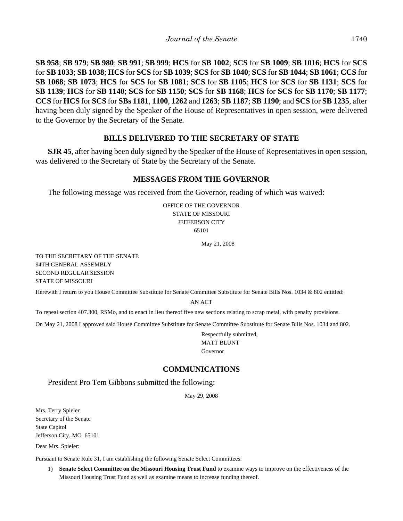**SB 958**; **SB 979**; **SB 980**; **SB 991**; **SB 999**; **HCS** for **SB 1002**; **SCS** for **SB 1009**; **SB 1016**; **HCS** for **SCS** for **SB 1033**; **SB 1038**; **HCS** for **SCS** for **SB 1039**; **SCS** for **SB 1040**; **SCS** for **SB 1044**; **SB 1061**; **CCS** for **SB 1068**; **SB 1073**; **HCS** for **SCS** for **SB 1081**; **SCS** for **SB 1105**; **HCS** for **SCS** for **SB 1131**; **SCS** for **SB 1139**; **HCS** for **SB 1140**; **SCS** for **SB 1150**; **SCS** for **SB 1168**; **HCS** for **SCS** for **SB 1170**; **SB 1177**; **CCS** for **HCS** for **SCS** for **SBs 1181**, **1100**, **1262** and **1263**; **SB 1187**; **SB 1190**; and **SCS** for **SB 1235**, after having been duly signed by the Speaker of the House of Representatives in open session, were delivered to the Governor by the Secretary of the Senate.

# **BILLS DELIVERED TO THE SECRETARY OF STATE**

**SJR 45**, after having been duly signed by the Speaker of the House of Representatives in open session, was delivered to the Secretary of State by the Secretary of the Senate.

## **MESSAGES FROM THE GOVERNOR**

The following message was received from the Governor, reading of which was waived:

OFFICE OF THE GOVERNOR STATE OF MISSOURI JEFFERSON CITY 65101

May 21, 2008

TO THE SECRETARY OF THE SENATE 94TH GENERAL ASSEMBLY SECOND REGULAR SESSION STATE OF MISSOURI

Herewith I return to you House Committee Substitute for Senate Committee Substitute for Senate Bills Nos. 1034 & 802 entitled:

AN ACT

To repeal section 407.300, RSMo, and to enact in lieu thereof five new sections relating to scrap metal, with penalty provisions.

On May 21, 2008 I approved said House Committee Substitute for Senate Committee Substitute for Senate Bills Nos. 1034 and 802.

Respectfully submitted, MATT BLUNT Governor

## **COMMUNICATIONS**

President Pro Tem Gibbons submitted the following:

May 29, 2008

Mrs. Terry Spieler Secretary of the Senate State Capitol Jefferson City, MO 65101

Dear Mrs. Spieler:

Pursuant to Senate Rule 31, I am establishing the following Senate Select Committees:

1) **Senate Select Committee on the Missouri Housing Trust Fund** to examine ways to improve on the effectiveness of the Missouri Housing Trust Fund as well as examine means to increase funding thereof.